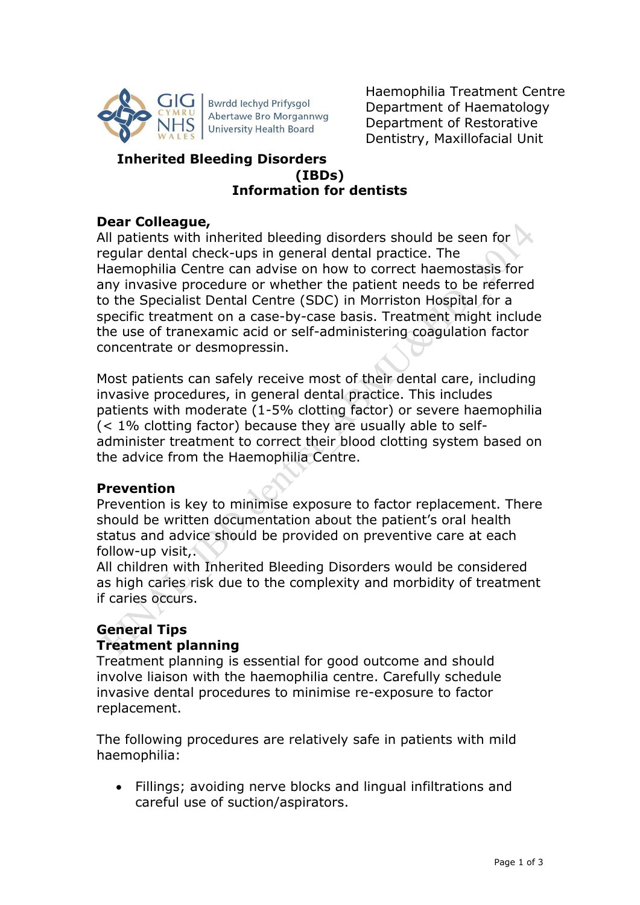

Bwrdd Iechyd Prifysgol Abertawe Bro Morgannwg **University Health Board** 

Haemophilia Treatment Centre Department of Haematology Department of Restorative Dentistry, Maxillofacial Unit

# **Inherited Bleeding Disorders (IBDs) Information for dentists**

# **Dear Colleague,**

All patients with inherited bleeding disorders should be seen for regular dental check-ups in general dental practice. The Haemophilia Centre can advise on how to correct haemostasis for any invasive procedure or whether the patient needs to be referred to the Specialist Dental Centre (SDC) in Morriston Hospital for a specific treatment on a case-by-case basis. Treatment might include the use of tranexamic acid or self-administering coagulation factor concentrate or desmopressin.

Most patients can safely receive most of their dental care, including invasive procedures, in general dental practice. This includes patients with moderate (1-5% clotting factor) or severe haemophilia (< 1% clotting factor) because they are usually able to selfadminister treatment to correct their blood clotting system based on the advice from the Haemophilia Centre.

## **Prevention**

Prevention is key to minimise exposure to factor replacement. There should be written documentation about the patient's oral health status and advice should be provided on preventive care at each follow-up visit,.

All children with Inherited Bleeding Disorders would be considered as high caries risk due to the complexity and morbidity of treatment if caries occurs.

# **General Tips Treatment planning**

Treatment planning is essential for good outcome and should involve liaison with the haemophilia centre. Carefully schedule invasive dental procedures to minimise re-exposure to factor replacement.

The following procedures are relatively safe in patients with mild haemophilia:

 Fillings; avoiding nerve blocks and lingual infiltrations and careful use of suction/aspirators.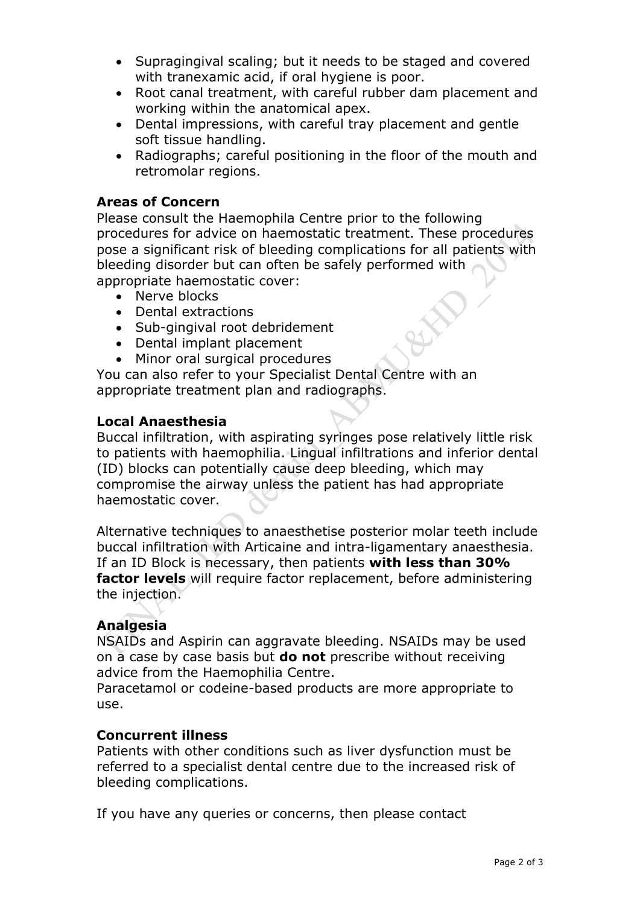- Supragingival scaling; but it needs to be staged and covered with tranexamic acid, if oral hygiene is poor.
- Root canal treatment, with careful rubber dam placement and working within the anatomical apex.
- Dental impressions, with careful tray placement and gentle soft tissue handling.
- Radiographs; careful positioning in the floor of the mouth and retromolar regions.

## **Areas of Concern**

Please consult the Haemophila Centre prior to the following procedures for advice on haemostatic treatment. These procedures pose a significant risk of bleeding complications for all patients with bleeding disorder but can often be safely performed with appropriate haemostatic cover:

- Nerve blocks
- Dental extractions
- Sub-gingival root debridement
- Dental implant placement
- Minor oral surgical procedures

You can also refer to your Specialist Dental Centre with an appropriate treatment plan and radiographs.

## **Local Anaesthesia**

Buccal infiltration, with aspirating syringes pose relatively little risk to patients with haemophilia. Lingual infiltrations and inferior dental (ID) blocks can potentially cause deep bleeding, which may compromise the airway unless the patient has had appropriate haemostatic cover.

Alternative techniques to anaesthetise posterior molar teeth include buccal infiltration with Articaine and intra-ligamentary anaesthesia. If an ID Block is necessary, then patients **with less than 30% factor levels** will require factor replacement, before administering the injection.

## **Analgesia**

NSAIDs and Aspirin can aggravate bleeding. NSAIDs may be used on a case by case basis but **do not** prescribe without receiving advice from the Haemophilia Centre.

Paracetamol or codeine-based products are more appropriate to use.

## **Concurrent illness**

Patients with other conditions such as liver dysfunction must be referred to a specialist dental centre due to the increased risk of bleeding complications.

If you have any queries or concerns, then please contact